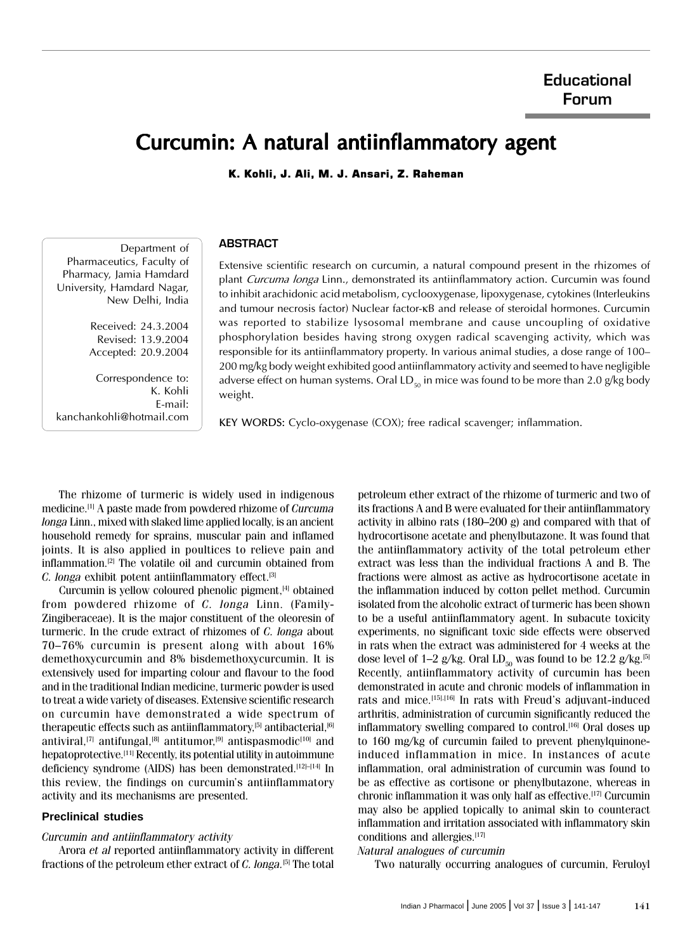# Curcumin: A natural antiinflammatory agent

K. Kohli, J. Ali, M. J. Ansari, Z. Raheman

## **ABSTRACT**

Department of Pharmaceutics, Faculty of Pharmacy, Jamia Hamdard University, Hamdard Nagar, New Delhi, India

> Received: 24.3.2004 Revised: 13.9.2004 Accepted: 20.9.2004

Correspondence to: K. Kohli E-mail: kanchankohli@hotmail.com Extensive scientific research on curcumin, a natural compound present in the rhizomes of plant Curcuma longa Linn., demonstrated its antiinflammatory action. Curcumin was found to inhibit arachidonic acid metabolism, cyclooxygenase, lipoxygenase, cytokines (Interleukins and tumour necrosis factor) Nuclear factor-κB and release of steroidal hormones. Curcumin was reported to stabilize lysosomal membrane and cause uncoupling of oxidative phosphorylation besides having strong oxygen radical scavenging activity, which was responsible for its antiinflammatory property. In various animal studies, a dose range of 100– 200 mg/kg body weight exhibited good antiinflammatory activity and seemed to have negligible adverse effect on human systems. Oral LD<sub>50</sub> in mice was found to be more than 2.0 g/kg body weight.

KEY WORDS: Cyclo-oxygenase (COX); free radical scavenger; inflammation.

The rhizome of turmeric is widely used in indigenous medicine.[1] A paste made from powdered rhizome of Curcuma longa Linn., mixed with slaked lime applied locally, is an ancient household remedy for sprains, muscular pain and inflamed joints. It is also applied in poultices to relieve pain and inflammation.[2] The volatile oil and curcumin obtained from C. longa exhibit potent antiinflammatory effect.<sup>[3]</sup>

Curcumin is yellow coloured phenolic pigment,[4] obtained from powdered rhizome of C. longa Linn. (Family-Zingiberaceae). It is the major constituent of the oleoresin of turmeric. In the crude extract of rhizomes of C. longa about 70–76% curcumin is present along with about 16% demethoxycurcumin and 8% bisdemethoxycurcumin. It is extensively used for imparting colour and flavour to the food and in the traditional Indian medicine, turmeric powder is used to treat a wide variety of diseases. Extensive scientific research on curcumin have demonstrated a wide spectrum of therapeutic effects such as antiinflammatory, $[5]$  antibacterial, $[6]$ antiviral,<sup>[7]</sup> antifungal,<sup>[8]</sup> antitumor,<sup>[9]</sup> antispasmodic<sup>[10]</sup> and hepatoprotective.<sup>[11]</sup> Recently, its potential utility in autoimmune deficiency syndrome (AIDS) has been demonstrated.<sup>[12]–[14]</sup> In this review, the findings on curcumin's antiinflammatory activity and its mechanisms are presented.

## **Preclinical studies**

#### Curcumin and antiinflammatory activity

Arora et al reported antiinflammatory activity in different fractions of the petroleum ether extract of  $C$ . longa.<sup>[5]</sup> The total

petroleum ether extract of the rhizome of turmeric and two of its fractions A and B were evaluated for their antiinflammatory activity in albino rats (180–200 g) and compared with that of hydrocortisone acetate and phenylbutazone. It was found that the antiinflammatory activity of the total petroleum ether extract was less than the individual fractions A and B. The fractions were almost as active as hydrocortisone acetate in the inflammation induced by cotton pellet method. Curcumin isolated from the alcoholic extract of turmeric has been shown to be a useful antiinflammatory agent. In subacute toxicity experiments, no significant toxic side effects were observed in rats when the extract was administered for 4 weeks at the dose level of 1–2 g/kg. Oral LD<sub>50</sub> was found to be 12.2 g/kg.<sup>[5]</sup> Recently, antiinflammatory activity of curcumin has been demonstrated in acute and chronic models of inflammation in rats and mice.<sup>[15],[16]</sup> In rats with Freud's adjuvant-induced arthritis, administration of curcumin significantly reduced the inflammatory swelling compared to control.<sup>[16]</sup> Oral doses up to 160 mg/kg of curcumin failed to prevent phenylquinoneinduced inflammation in mice. In instances of acute inflammation, oral administration of curcumin was found to be as effective as cortisone or phenylbutazone, whereas in chronic inflammation it was only half as effective.[17] Curcumin may also be applied topically to animal skin to counteract inflammation and irritation associated with inflammatory skin conditions and allergies.[17]

## Natural analogues of curcumin

Two naturally occurring analogues of curcumin, Feruloyl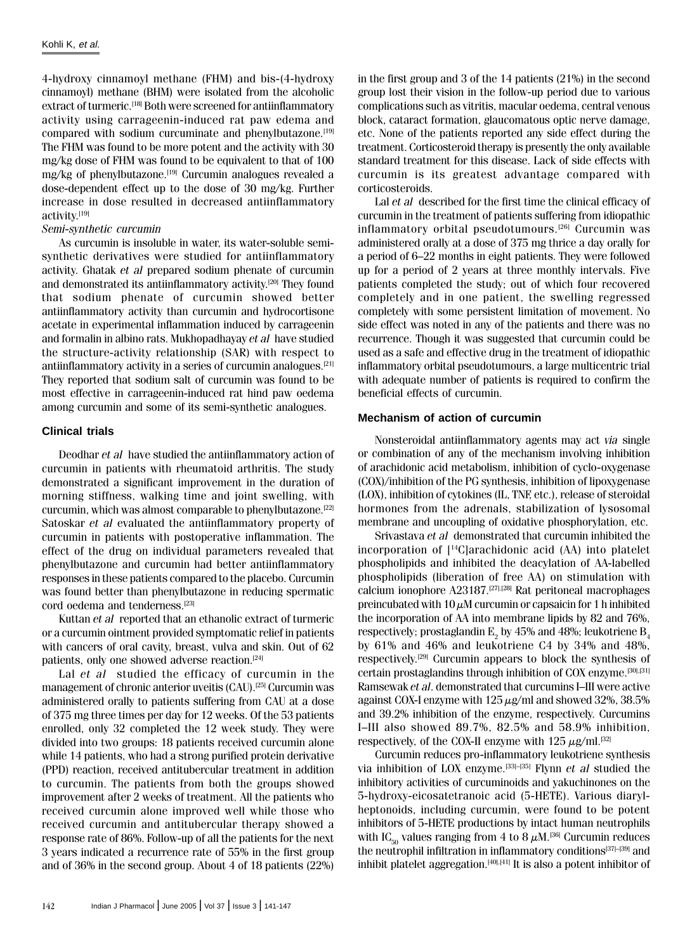4-hydroxy cinnamoyl methane (FHM) and bis-(4-hydroxy cinnamoyl) methane (BHM) were isolated from the alcoholic extract of turmeric.<sup>[18]</sup> Both were screened for antiinflammatory activity using carrageenin-induced rat paw edema and compared with sodium curcuminate and phenylbutazone.<sup>[19]</sup> The FHM was found to be more potent and the activity with 30 mg/kg dose of FHM was found to be equivalent to that of 100 mg/kg of phenylbutazone.[19] Curcumin analogues revealed a dose-dependent effect up to the dose of 30 mg/kg. Further increase in dose resulted in decreased antiinflammatory activity.[19]

#### Semi-synthetic curcumin

As curcumin is insoluble in water, its water-soluble semisynthetic derivatives were studied for antiinflammatory activity. Ghatak et al prepared sodium phenate of curcumin and demonstrated its antiinflammatory activity.<sup>[20]</sup> They found that sodium phenate of curcumin showed better antiinflammatory activity than curcumin and hydrocortisone acetate in experimental inflammation induced by carrageenin and formalin in albino rats. Mukhopadhayay et al have studied the structure-activity relationship (SAR) with respect to antiinflammatory activity in a series of curcumin analogues.[21] They reported that sodium salt of curcumin was found to be most effective in carrageenin-induced rat hind paw oedema among curcumin and some of its semi-synthetic analogues.

## **Clinical trials**

Deodhar et al have studied the antiinflammatory action of curcumin in patients with rheumatoid arthritis. The study demonstrated a significant improvement in the duration of morning stiffness, walking time and joint swelling, with curcumin, which was almost comparable to phenylbutazone.[22] Satoskar et al evaluated the antiinflammatory property of curcumin in patients with postoperative inflammation. The effect of the drug on individual parameters revealed that phenylbutazone and curcumin had better antiinflammatory responses in these patients compared to the placebo. Curcumin was found better than phenylbutazone in reducing spermatic cord oedema and tenderness.[23]

Kuttan et al reported that an ethanolic extract of turmeric or a curcumin ointment provided symptomatic relief in patients with cancers of oral cavity, breast, vulva and skin. Out of 62 patients, only one showed adverse reaction.<sup>[24]</sup>

Lal et al studied the efficacy of curcumin in the management of chronic anterior uveitis (CAU).[25] Curcumin was administered orally to patients suffering from CAU at a dose of 375 mg three times per day for 12 weeks. Of the 53 patients enrolled, only 32 completed the 12 week study. They were divided into two groups: 18 patients received curcumin alone while 14 patients, who had a strong purified protein derivative (PPD) reaction, received antitubercular treatment in addition to curcumin. The patients from both the groups showed improvement after 2 weeks of treatment. All the patients who received curcumin alone improved well while those who received curcumin and antitubercular therapy showed a response rate of 86%. Follow-up of all the patients for the next 3 years indicated a recurrence rate of 55% in the first group and of 36% in the second group. About 4 of 18 patients (22%) in the first group and 3 of the 14 patients (21%) in the second group lost their vision in the follow-up period due to various complications such as vitritis, macular oedema, central venous block, cataract formation, glaucomatous optic nerve damage, etc. None of the patients reported any side effect during the treatment. Corticosteroid therapy is presently the only available standard treatment for this disease. Lack of side effects with curcumin is its greatest advantage compared with corticosteroids.

Lal *et al* described for the first time the clinical efficacy of curcumin in the treatment of patients suffering from idiopathic inflammatory orbital pseudotumours.[26] Curcumin was administered orally at a dose of 375 mg thrice a day orally for a period of 6–22 months in eight patients. They were followed up for a period of 2 years at three monthly intervals. Five patients completed the study; out of which four recovered completely and in one patient, the swelling regressed completely with some persistent limitation of movement. No side effect was noted in any of the patients and there was no recurrence. Though it was suggested that curcumin could be used as a safe and effective drug in the treatment of idiopathic inflammatory orbital pseudotumours, a large multicentric trial with adequate number of patients is required to confirm the beneficial effects of curcumin.

## **Mechanism of action of curcumin**

Nonsteroidal antiinflammatory agents may act via single or combination of any of the mechanism involving inhibition of arachidonic acid metabolism, inhibition of cyclo-oxygenase (COX)/inhibition of the PG synthesis, inhibition of lipoxygenase (LOX), inhibition of cytokines (IL, TNF, etc.), release of steroidal hormones from the adrenals, stabilization of lysosomal membrane and uncoupling of oxidative phosphorylation, etc.

Srivastava et al demonstrated that curcumin inhibited the incorporation of [14C]arachidonic acid (AA) into platelet phospholipids and inhibited the deacylation of AA-labelled phospholipids (liberation of free AA) on stimulation with calcium ionophore A23187.[27],[28] Rat peritoneal macrophages preincubated with  $10 \mu$ M curcumin or capsaicin for 1 h inhibited the incorporation of AA into membrane lipids by 82 and 76%, respectively; prostaglandin  $\mathrm{E}_\mathrm{2}$  by 45% and 48%; leukotriene  $\mathrm{B}_\mathrm{4}$ by 61% and 46% and leukotriene C4 by 34% and 48%, respectively.[29] Curcumin appears to block the synthesis of certain prostaglandins through inhibition of COX enzyme.[30],[31] Ramsewak et al. demonstrated that curcumins I–III were active against COX-I enzyme with  $125 \mu g/ml$  and showed 32%, 38.5% and 39.2% inhibition of the enzyme, respectively. Curcumins I–III also showed 89.7%, 82.5% and 58.9% inhibition, respectively, of the COX-II enzyme with  $125 \mu$ g/ml.<sup>[32]</sup>

Curcumin reduces pro-inflammatory leukotriene synthesis via inhibition of LOX enzyme.<sup>[33]–[35]</sup> Flynn et al studied the inhibitory activities of curcuminoids and yakuchinones on the 5-hydroxy-eicosatetranoic acid (5-HETE). Various diarylheptonoids, including curcumin, were found to be potent inhibitors of 5-HETE productions by intact human neutrophils with IC<sub>50</sub> values ranging from 4 to 8  $\mu$ M.<sup>[36]</sup> Curcumin reduces the neutrophil infiltration in inflammatory conditions<sup>[37]–[39]</sup> and inhibit platelet aggregation. $[40],[41]$  It is also a potent inhibitor of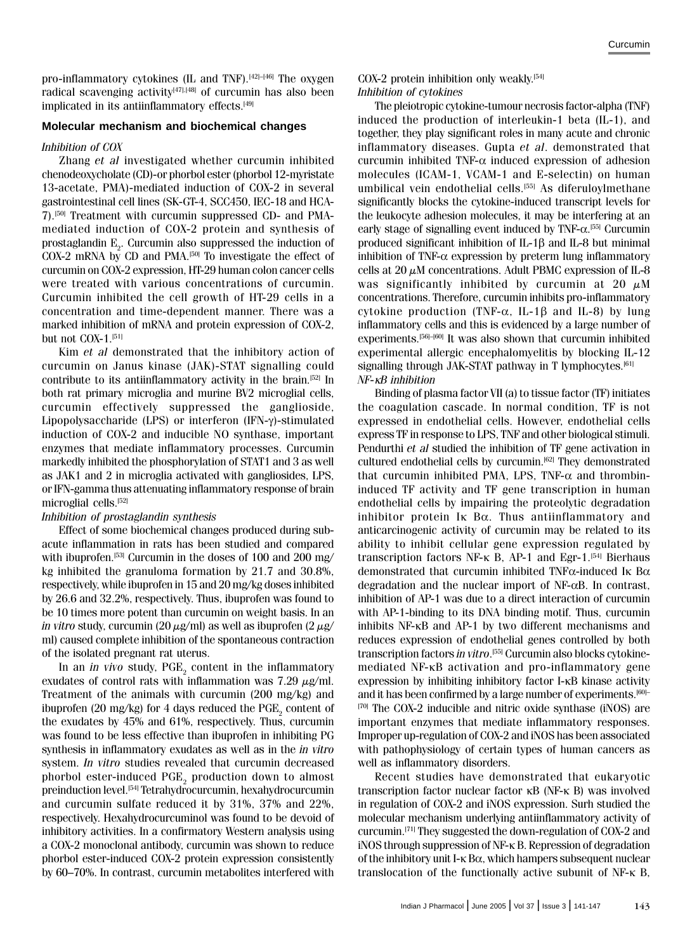pro-inflammatory cytokines (IL and TNF).<sup>[42]–[46]</sup> The oxygen radical scavenging activity<sup>[47],[48]</sup> of curcumin has also been implicated in its antiinflammatory effects.<sup>[49]</sup>

## **Molecular mechanism and biochemical changes**

#### Inhibition of COX

Zhang et al investigated whether curcumin inhibited chenodeoxycholate (CD)-or phorbol ester (phorbol 12-myristate 13-acetate, PMA)-mediated induction of COX-2 in several gastrointestinal cell lines (SK-GT-4, SCC450, IEC-18 and HCA-7).[50] Treatment with curcumin suppressed CD- and PMAmediated induction of COX-2 protein and synthesis of prostaglandin  $\mathbb{E}^{}_{2}$ . Curcumin also suppressed the induction of COX-2 mRNA by CD and PMA.[50] To investigate the effect of curcumin on COX-2 expression, HT-29 human colon cancer cells were treated with various concentrations of curcumin. Curcumin inhibited the cell growth of HT-29 cells in a concentration and time-dependent manner. There was a marked inhibition of mRNA and protein expression of COX-2, but not COX-1.<sup>[51]</sup>

Kim et al demonstrated that the inhibitory action of curcumin on Janus kinase (JAK)-STAT signalling could contribute to its antiinflammatory activity in the brain.[52] In both rat primary microglia and murine BV2 microglial cells, curcumin effectively suppressed the ganglioside, Lipopolysaccharide (LPS) or interferon (IFN-γ)-stimulated induction of COX-2 and inducible NO synthase, important enzymes that mediate inflammatory processes. Curcumin markedly inhibited the phosphorylation of STAT1 and 3 as well as JAK1 and 2 in microglia activated with gangliosides, LPS, or IFN-gamma thus attenuating inflammatory response of brain microglial cells.<sup>[52]</sup>

## Inhibition of prostaglandin synthesis

Effect of some biochemical changes produced during subacute inflammation in rats has been studied and compared with ibuprofen.<sup>[53]</sup> Curcumin in the doses of 100 and 200 mg/ kg inhibited the granuloma formation by 21.7 and 30.8%, respectively, while ibuprofen in 15 and 20 mg/kg doses inhibited by 26.6 and 32.2%, respectively. Thus, ibuprofen was found to be 10 times more potent than curcumin on weight basis. In an *in vitro* study, curcumin (20  $\mu$ g/ml) as well as ibuprofen (2  $\mu$ g/ ml) caused complete inhibition of the spontaneous contraction of the isolated pregnant rat uterus.

In an *in vivo* study,  $PGE_{2}$  content in the inflammatory exudates of control rats with inflammation was 7.29  $\mu$ g/ml. Treatment of the animals with curcumin (200 mg/kg) and ibuprofen (20 mg/kg) for 4 days reduced the  $\mathrm{PGE}_2$  content of the exudates by 45% and 61%, respectively. Thus, curcumin was found to be less effective than ibuprofen in inhibiting PG synthesis in inflammatory exudates as well as in the in vitro system. In vitro studies revealed that curcumin decreased phorbol ester-induced  $\mathrm{PGE}_2$  production down to almost preinduction level.[54] Tetrahydrocurcumin, hexahydrocurcumin and curcumin sulfate reduced it by 31%, 37% and 22%, respectively. Hexahydrocurcuminol was found to be devoid of inhibitory activities. In a confirmatory Western analysis using a COX-2 monoclonal antibody, curcumin was shown to reduce phorbol ester-induced COX-2 protein expression consistently by 60–70%. In contrast, curcumin metabolites interfered with

COX-2 protein inhibition only weakly.[54] Inhibition of cytokines

The pleiotropic cytokine-tumour necrosis factor-alpha (TNF) induced the production of interleukin-1 beta (IL-1), and together, they play significant roles in many acute and chronic inflammatory diseases. Gupta et al. demonstrated that curcumin inhibited TNF- $\alpha$  induced expression of adhesion molecules (ICAM-1, VCAM-1 and E-selectin) on human umbilical vein endothelial cells.<sup>[55]</sup> As diferuloylmethane significantly blocks the cytokine-induced transcript levels for the leukocyte adhesion molecules, it may be interfering at an early stage of signalling event induced by TNF-α.<sup>[55]</sup> Curcumin produced significant inhibition of IL-1β and IL-8 but minimal inhibition of TNF- $\alpha$  expression by preterm lung inflammatory cells at 20  $\mu$ M concentrations. Adult PBMC expression of IL-8 was significantly inhibited by curcumin at 20  $\mu$ M concentrations. Therefore, curcumin inhibits pro-inflammatory cytokine production (TNF- $\alpha$ , IL-1 $\beta$  and IL-8) by lung inflammatory cells and this is evidenced by a large number of experiments.<sup>[56]–[60]</sup> It was also shown that curcumin inhibited experimental allergic encephalomyelitis by blocking IL-12 signalling through JAK-STAT pathway in T lymphocytes.<sup>[61]</sup> NF-κB inhibition

Binding of plasma factor VII (a) to tissue factor (TF) initiates the coagulation cascade. In normal condition, TF is not expressed in endothelial cells. However, endothelial cells express TF in response to LPS, TNF and other biological stimuli. Pendurthi et al studied the inhibition of TF gene activation in cultured endothelial cells by curcumin.<sup>[62]</sup> They demonstrated that curcumin inhibited PMA, LPS, TNF- $\alpha$  and thrombininduced TF activity and TF gene transcription in human endothelial cells by impairing the proteolytic degradation inhibitor protein  $\mathbf{I} \kappa$  B $\alpha$ . Thus antiinflammatory and anticarcinogenic activity of curcumin may be related to its ability to inhibit cellular gene expression regulated by transcription factors NF-κ B, AP-1 and Egr-1.<sup>[54]</sup> Bierhaus demonstrated that curcumin inhibited TNFα-induced Iκ Bα degradation and the nuclear import of NF-αB. In contrast, inhibition of AP-1 was due to a direct interaction of curcumin with AP-1-binding to its DNA binding motif. Thus, curcumin inhibits NF-κB and AP-1 by two different mechanisms and reduces expression of endothelial genes controlled by both transcription factors *in vitro*.<sup>[55]</sup> Curcumin also blocks cytokinemediated NF-κB activation and pro-inflammatory gene expression by inhibiting inhibitory factor I-κB kinase activity and it has been confirmed by a large number of experiments.<sup>[60]–</sup> [70] The COX-2 inducible and nitric oxide synthase (iNOS) are important enzymes that mediate inflammatory responses. Improper up-regulation of COX-2 and iNOS has been associated with pathophysiology of certain types of human cancers as well as inflammatory disorders.

Recent studies have demonstrated that eukaryotic transcription factor nuclear factor κB (NF-κ B) was involved in regulation of COX-2 and iNOS expression. Surh studied the molecular mechanism underlying antiinflammatory activity of curcumin.[71] They suggested the down-regulation of COX-2 and iNOS through suppression of NF-κ B. Repression of degradation of the inhibitory unit I-κ Bα, which hampers subsequent nuclear translocation of the functionally active subunit of NF-κ B,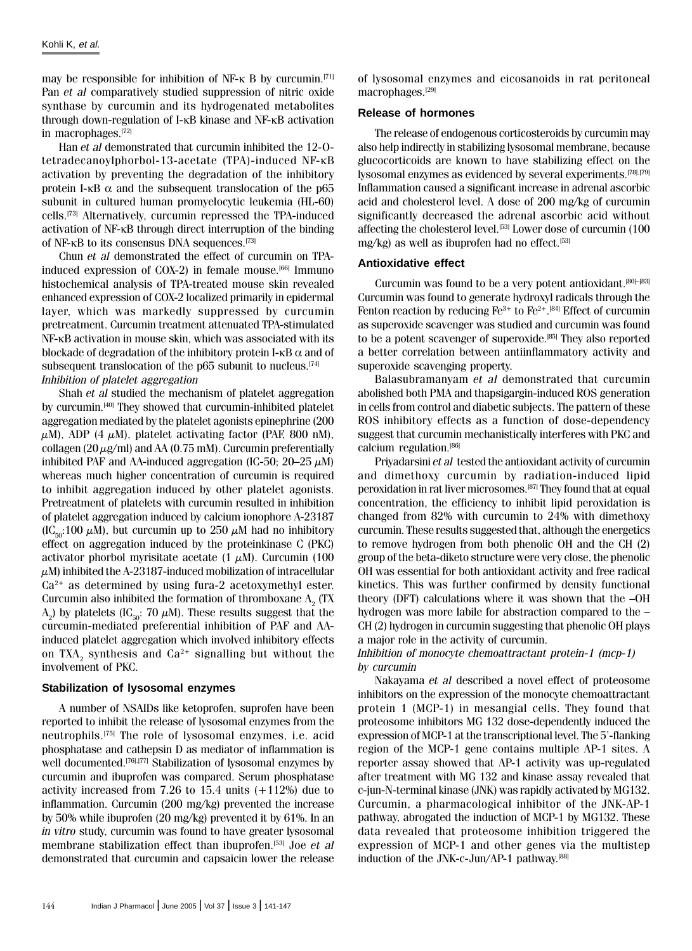may be responsible for inhibition of NF-κ B by curcumin.<sup>[71]</sup> Pan et al comparatively studied suppression of nitric oxide synthase by curcumin and its hydrogenated metabolites through down-regulation of I-κB kinase and NF-κB activation in macrophages.[72]

Han et al demonstrated that curcumin inhibited the 12-Otetradecanoylphorbol-13-acetate (TPA)-induced NF-κB activation by preventing the degradation of the inhibitory protein I-κB  $\alpha$  and the subsequent translocation of the p65 subunit in cultured human promyelocytic leukemia (HL-60) cells.[73] Alternatively, curcumin repressed the TPA-induced activation of NF-κB through direct interruption of the binding of NF-κB to its consensus DNA sequences.[73]

Chun et al demonstrated the effect of curcumin on TPAinduced expression of COX-2) in female mouse.<sup>[66]</sup> Immuno histochemical analysis of TPA-treated mouse skin revealed enhanced expression of COX-2 localized primarily in epidermal layer, which was markedly suppressed by curcumin pretreatment. Curcumin treatment attenuated TPA-stimulated NF-κB activation in mouse skin, which was associated with its blockade of degradation of the inhibitory protein I- $\kappa$ B  $\alpha$  and of subsequent translocation of the  $p65$  subunit to nucleus.<sup>[74]</sup> Inhibition of platelet aggregation

Shah et al studied the mechanism of platelet aggregation by curcumin.[40] They showed that curcumin-inhibited platelet aggregation mediated by the platelet agonists epinephrine (200  $\mu$ M), ADP (4  $\mu$ M), platelet activating factor (PAF, 800 nM), collagen (20  $\mu$ g/ml) and AA (0.75 mM). Curcumin preferentially inhibited PAF and AA-induced aggregation (IC-50;  $20-25 \mu M$ ) whereas much higher concentration of curcumin is required to inhibit aggregation induced by other platelet agonists. Pretreatment of platelets with curcumin resulted in inhibition of platelet aggregation induced by calcium ionophore A-23187  $(IC_{50}:100 \mu M)$ , but curcumin up to 250  $\mu$ M had no inhibitory effect on aggregation induced by the proteinkinase C (PKC) activator phorbol myrisitate acetate  $(1 \mu M)$ . Curcumin (100  $\mu$ M) inhibited the A-23187-induced mobilization of intracellular  $Ca<sup>2+</sup>$  as determined by using fura-2 acetoxymethyl ester. Curcumin also inhibited the formation of thromboxane  $\mathrm{A}_2$  (TX  $\mathrm{A}_2$ ) by platelets (IC<sub>50</sub>: 70  $\mu$ M). These results suggest that the curcumin-mediated preferential inhibition of PAF and AAinduced platelet aggregation which involved inhibitory effects on TXA $_2$  synthesis and Ca $^{2+}$  signalling but without the involvement of PKC.

## **Stabilization of lysosomal enzymes**

A number of NSAIDs like ketoprofen, suprofen have been reported to inhibit the release of lysosomal enzymes from the neutrophils.[75] The role of lysosomal enzymes, i.e. acid phosphatase and cathepsin D as mediator of inflammation is well documented.<sup>[76],[77]</sup> Stabilization of lysosomal enzymes by curcumin and ibuprofen was compared. Serum phosphatase activity increased from 7.26 to 15.4 units (+112%) due to inflammation. Curcumin (200 mg/kg) prevented the increase by 50% while ibuprofen (20 mg/kg) prevented it by 61%. In an in vitro study, curcumin was found to have greater lysosomal membrane stabilization effect than ibuprofen.[53] Joe et al demonstrated that curcumin and capsaicin lower the release of lysosomal enzymes and eicosanoids in rat peritoneal macrophages.<sup>[29]</sup>

## **Release of hormones**

The release of endogenous corticosteroids by curcumin may also help indirectly in stabilizing lysosomal membrane, because glucocorticoids are known to have stabilizing effect on the lysosomal enzymes as evidenced by several experiments.[78],[79] Inflammation caused a significant increase in adrenal ascorbic acid and cholesterol level. A dose of 200 mg/kg of curcumin significantly decreased the adrenal ascorbic acid without affecting the cholesterol level.<sup>[53]</sup> Lower dose of curcumin (100 mg/kg) as well as ibuprofen had no effect.<sup>[53]</sup>

## **Antioxidative effect**

Curcumin was found to be a very potent antioxidant.<sup>[80]–[83]</sup> Curcumin was found to generate hydroxyl radicals through the Fenton reaction by reducing Fe<sup>3+</sup> to Fe<sup>2+</sup>.<sup>[84]</sup> Effect of curcumin as superoxide scavenger was studied and curcumin was found to be a potent scavenger of superoxide.<sup>[85]</sup> They also reported a better correlation between antiinflammatory activity and superoxide scavenging property.

Balasubramanyam et al demonstrated that curcumin abolished both PMA and thapsigargin-induced ROS generation in cells from control and diabetic subjects. The pattern of these ROS inhibitory effects as a function of dose-dependency suggest that curcumin mechanistically interferes with PKC and calcium regulation.<sup>[86]</sup>

Priyadarsini et al tested the antioxidant activity of curcumin and dimethoxy curcumin by radiation-induced lipid peroxidation in rat liver microsomes.[87] They found that at equal concentration, the efficiency to inhibit lipid peroxidation is changed from 82% with curcumin to 24% with dimethoxy curcumin. These results suggested that, although the energetics to remove hydrogen from both phenolic OH and the CH (2) group of the beta-diketo structure were very close, the phenolic OH was essential for both antioxidant activity and free radical kinetics. This was further confirmed by density functional theory (DFT) calculations where it was shown that the –OH hydrogen was more labile for abstraction compared to the – CH (2) hydrogen in curcumin suggesting that phenolic OH plays a major role in the activity of curcumin.

## Inhibition of monocyte chemoattractant protein-1 (mcp-1) by curcumin

Nakayama et al described a novel effect of proteosome inhibitors on the expression of the monocyte chemoattractant protein 1 (MCP-1) in mesangial cells. They found that proteosome inhibitors MG 132 dose-dependently induced the expression of MCP-1 at the transcriptional level. The 5'-flanking region of the MCP-1 gene contains multiple AP-1 sites. A reporter assay showed that AP-1 activity was up-regulated after treatment with MG 132 and kinase assay revealed that c-jun-N-terminal kinase (JNK) was rapidly activated by MG132. Curcumin, a pharmacological inhibitor of the JNK-AP-1 pathway, abrogated the induction of MCP-1 by MG132. These data revealed that proteosome inhibition triggered the expression of MCP-1 and other genes via the multistep induction of the JNK-c-Jun/AP-1 pathway.<sup>[88]</sup>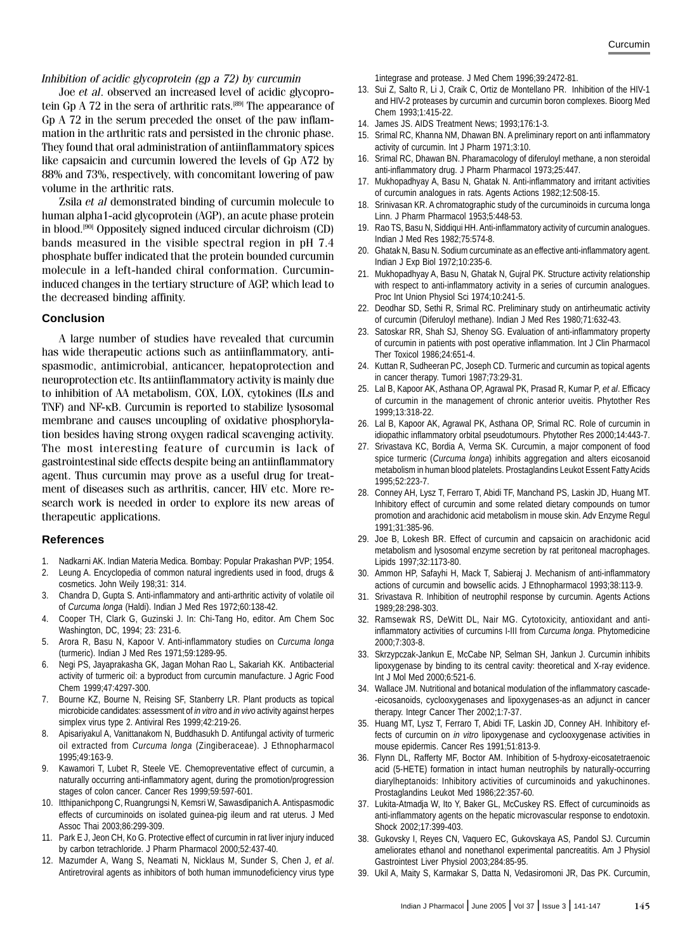#### Inhibition of acidic glycoprotein (gp a 72) by curcumin

Joe et al. observed an increased level of acidic glycoprotein Gp A 72 in the sera of arthritic rats.<sup>[89]</sup> The appearance of Gp A 72 in the serum preceded the onset of the paw inflammation in the arthritic rats and persisted in the chronic phase. They found that oral administration of antiinflammatory spices like capsaicin and curcumin lowered the levels of Gp A72 by 88% and 73%, respectively, with concomitant lowering of paw volume in the arthritic rats.

Zsila et al demonstrated binding of curcumin molecule to human alpha1-acid glycoprotein (AGP), an acute phase protein in blood.[90] Oppositely signed induced circular dichroism (CD) bands measured in the visible spectral region in pH 7.4 phosphate buffer indicated that the protein bounded curcumin molecule in a left-handed chiral conformation. Curcumininduced changes in the tertiary structure of AGP, which lead to the decreased binding affinity.

#### **Conclusion**

A large number of studies have revealed that curcumin has wide therapeutic actions such as antiinflammatory, antispasmodic, antimicrobial, anticancer, hepatoprotection and neuroprotection etc. Its antiinflammatory activity is mainly due to inhibition of AA metabolism, COX, LOX, cytokines (ILs and TNF) and NF-κB. Curcumin is reported to stabilize lysosomal membrane and causes uncoupling of oxidative phosphorylation besides having strong oxygen radical scavenging activity. The most interesting feature of curcumin is lack of gastrointestinal side effects despite being an antiinflammatory agent. Thus curcumin may prove as a useful drug for treatment of diseases such as arthritis, cancer, HIV etc. More research work is needed in order to explore its new areas of therapeutic applications.

#### **References**

- 1. Nadkarni AK. Indian Materia Medica. Bombay: Popular Prakashan PVP; 1954.
- 2. Leung A. Encyclopedia of common natural ingredients used in food, drugs & cosmetics. John Weily 198;31: 314.
- 3. Chandra D, Gupta S. Anti-inflammatory and anti-arthritic activity of volatile oil of *Curcuma longa* (Haldi). Indian J Med Res 1972;60:138-42.
- 4. Cooper TH, Clark G, Guzinski J. In: Chi-Tang Ho, editor. Am Chem Soc Washington, DC, 1994; 23: 231-6.
- 5. Arora R, Basu N, Kapoor V. Anti-inflammatory studies on *Curcuma longa* (turmeric). Indian J Med Res 1971;59:1289-95.
- 6. Negi PS, Jayaprakasha GK, Jagan Mohan Rao L, Sakariah KK. Antibacterial activity of turmeric oil: a byproduct from curcumin manufacture. J Agric Food Chem 1999;47:4297-300.
- 7. Bourne KZ, Bourne N, Reising SF, Stanberry LR. Plant products as topical microbicide candidates: assessment of *in vitro* and *in vivo* activity against herpes simplex virus type 2. Antiviral Res 1999;42:219-26.
- 8. Apisariyakul A, Vanittanakom N, Buddhasukh D. Antifungal activity of turmeric oil extracted from *Curcuma longa* (Zingiberaceae). J Ethnopharmacol 1995;49:163-9.
- 9. Kawamori T, Lubet R, Steele VE. Chemopreventative effect of curcumin, a naturally occurring anti-inflammatory agent, during the promotion/progression stages of colon cancer. Cancer Res 1999;59:597-601.
- 10. Itthipanichpong C, Ruangrungsi N, Kemsri W, Sawasdipanich A. Antispasmodic effects of curcuminoids on isolated guinea-pig ileum and rat uterus. J Med Assoc Thai 2003;86:299-309.
- 11. Park E J, Jeon CH, Ko G. Protective effect of curcumin in rat liver injury induced by carbon tetrachloride. J Pharm Pharmacol 2000;52:437-40.
- 12. Mazumder A, Wang S, Neamati N, Nicklaus M, Sunder S, Chen J, *et al*. Antiretroviral agents as inhibitors of both human immunodeficiency virus type

1integrase and protease. J Med Chem 1996;39:2472-81.

- 13. Sui Z, Salto R, Li J, Craik C, Ortiz de Montellano PR. Inhibition of the HIV-1 and HIV-2 proteases by curcumin and curcumin boron complexes. Bioorg Med Chem 1993;1:415-22.
- 14. James JS. AIDS Treatment News; 1993;176:1-3.
- 15. Srimal RC, Khanna NM, Dhawan BN. A preliminary report on anti inflammatory activity of curcumin. Int J Pharm 1971;3:10.
- 16. Srimal RC, Dhawan BN. Pharamacology of diferuloyl methane, a non steroidal anti-inflammatory drug. J Pharm Pharmacol 1973;25:447.
- 17. Mukhopadhyay A, Basu N, Ghatak N. Anti-inflammatory and irritant activities of curcumin analogues in rats. Agents Actions 1982;12:508-15.
- 18. Srinivasan KR. A chromatographic study of the curcuminoids in curcuma longa Linn. J Pharm Pharmacol 1953;5:448-53.
- 19. Rao TS, Basu N, Siddiqui HH. Anti-inflammatory activity of curcumin analogues. Indian J Med Res 1982;75:574-8.
- 20. Ghatak N, Basu N. Sodium curcuminate as an effective anti-inflammatory agent. Indian J Exp Biol 1972;10:235-6.
- 21. Mukhopadhyay A, Basu N, Ghatak N, Gujral PK. Structure activity relationship with respect to anti-inflammatory activity in a series of curcumin analogues. Proc Int Union Physiol Sci 1974;10:241-5.
- 22. Deodhar SD, Sethi R, Srimal RC. Preliminary study on antirheumatic activity of curcumin (Diferuloyl methane). Indian J Med Res 1980;71:632-43.
- 23. Satoskar RR, Shah SJ, Shenoy SG. Evaluation of anti-inflammatory property of curcumin in patients with post operative inflammation. Int J Clin Pharmacol Ther Toxicol 1986;24:651-4.
- 24. Kuttan R, Sudheeran PC, Joseph CD. Turmeric and curcumin as topical agents in cancer therapy. Tumori 1987;73:29-31.
- 25. Lal B, Kapoor AK, Asthana OP, Agrawal PK, Prasad R, Kumar P, *et al*. Efficacy of curcumin in the management of chronic anterior uveitis. Phytother Res 1999;13:318-22.
- 26. Lal B, Kapoor AK, Agrawal PK, Asthana OP, Srimal RC. Role of curcumin in idiopathic inflammatory orbital pseudotumours. Phytother Res 2000;14:443-7.
- 27. Srivastava KC, Bordia A, Verma SK. Curcumin, a major component of food spice turmeric (*Curcuma longa*) inhibits aggregation and alters eicosanoid metabolism in human blood platelets. Prostaglandins Leukot Essent Fatty Acids 1995;52:223-7.
- 28. Conney AH, Lysz T, Ferraro T, Abidi TF, Manchand PS, Laskin JD, Huang MT. Inhibitory effect of curcumin and some related dietary compounds on tumor promotion and arachidonic acid metabolism in mouse skin. Adv Enzyme Regul 1991;31:385-96.
- 29. Joe B, Lokesh BR. Effect of curcumin and capsaicin on arachidonic acid metabolism and lysosomal enzyme secretion by rat peritoneal macrophages. Lipids 1997;32:1173-80.
- 30. Ammon HP, Safayhi H, Mack T, Sabieraj J. Mechanism of anti-inflammatory actions of curcumin and bowsellic acids. J Ethnopharmacol 1993;38:113-9.
- 31. Srivastava R. Inhibition of neutrophil response by curcumin. Agents Actions 1989;28:298-303.
- 32. Ramsewak RS, DeWitt DL, Nair MG. Cytotoxicity, antioxidant and antiinflammatory activities of curcumins I-III from *Curcuma longa*. Phytomedicine 2000;7:303-8.
- 33. Skrzypczak-Jankun E, McCabe NP, Selman SH, Jankun J. Curcumin inhibits lipoxygenase by binding to its central cavity: theoretical and X-ray evidence. Int J Mol Med 2000;6:521-6.
- 34. Wallace JM. Nutritional and botanical modulation of the inflammatory cascade- -eicosanoids, cyclooxygenases and lipoxygenases-as an adjunct in cancer therapy. Integr Cancer Ther 2002;1:7-37.
- 35. Huang MT, Lysz T, Ferraro T, Abidi TF, Laskin JD, Conney AH. Inhibitory effects of curcumin on *in vitro* lipoxygenase and cyclooxygenase activities in mouse epidermis. Cancer Res 1991;51:813-9.
- 36. Flynn DL, Rafferty MF, Boctor AM. Inhibition of 5-hydroxy-eicosatetraenoic acid (5-HETE) formation in intact human neutrophils by naturally-occurring diarylheptanoids: Inhibitory activities of curcuminoids and yakuchinones. Prostaglandins Leukot Med 1986;22:357-60.
- 37. Lukita-Atmadja W, Ito Y, Baker GL, McCuskey RS. Effect of curcuminoids as anti-inflammatory agents on the hepatic microvascular response to endotoxin. Shock 2002;17:399-403.
- 38. Gukovsky I, Reyes CN, Vaquero EC, Gukovskaya AS, Pandol SJ. Curcumin ameliorates ethanol and nonethanol experimental pancreatitis. Am J Physiol Gastrointest Liver Physiol 2003;284:85-95.
- 39. Ukil A, Maity S, Karmakar S, Datta N, Vedasiromoni JR, Das PK. Curcumin,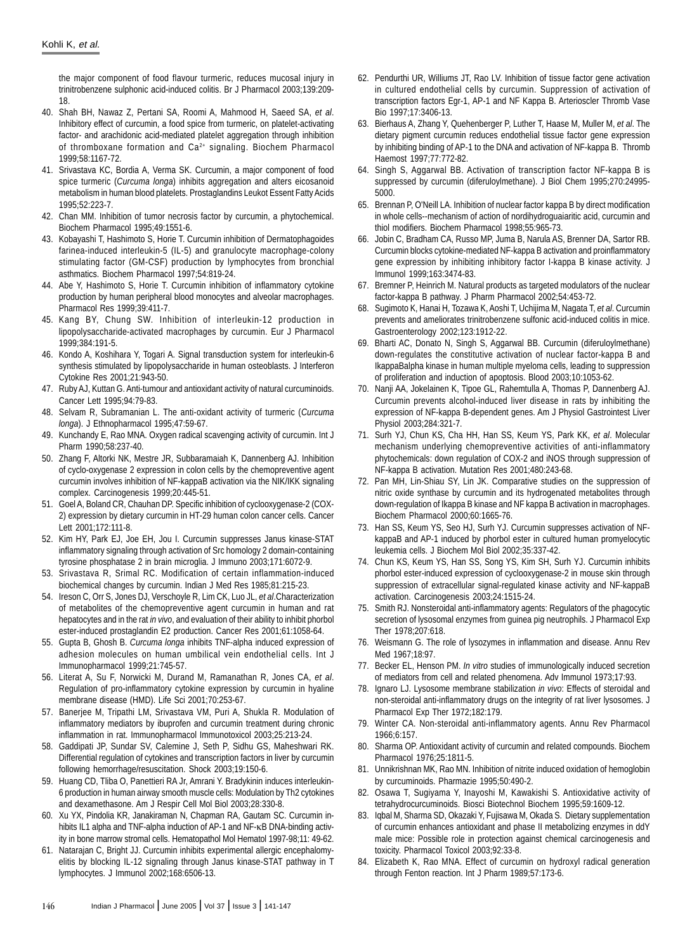the major component of food flavour turmeric, reduces mucosal injury in trinitrobenzene sulphonic acid-induced colitis. Br J Pharmacol 2003;139:209- 18.

- 40. Shah BH, Nawaz Z, Pertani SA, Roomi A, Mahmood H, Saeed SA, *et al*. Inhibitory effect of curcumin, a food spice from turmeric, on platelet-activating factor- and arachidonic acid-mediated platelet aggregation through inhibition of thromboxane formation and Ca<sup>2+</sup> signaling. Biochem Pharmacol 1999;58:1167-72.
- 41. Srivastava KC, Bordia A, Verma SK. Curcumin, a major component of food spice turmeric (*Curcuma longa*) inhibits aggregation and alters eicosanoid metabolism in human blood platelets. Prostaglandins Leukot Essent Fatty Acids 1995;52:223-7.
- 42. Chan MM. Inhibition of tumor necrosis factor by curcumin, a phytochemical. Biochem Pharmacol 1995;49:1551-6.
- 43. Kobayashi T, Hashimoto S, Horie T. Curcumin inhibition of Dermatophagoides farinea-induced interleukin-5 (IL-5) and granulocyte macrophage-colony stimulating factor (GM-CSF) production by lymphocytes from bronchial asthmatics. Biochem Pharmacol 1997;54:819-24.
- 44. Abe Y, Hashimoto S, Horie T. Curcumin inhibition of inflammatory cytokine production by human peripheral blood monocytes and alveolar macrophages. Pharmacol Res 1999;39:411-7.
- 45. Kang BY, Chung SW. Inhibition of interleukin-12 production in lipopolysaccharide-activated macrophages by curcumin. Eur J Pharmacol 1999;384:191-5.
- 46. Kondo A, Koshihara Y, Togari A. Signal transduction system for interleukin-6 synthesis stimulated by lipopolysaccharide in human osteoblasts. J Interferon Cytokine Res 2001;21:943-50.
- 47. Ruby AJ, Kuttan G. Anti-tumour and antioxidant activity of natural curcuminoids. Cancer Lett 1995;94:79-83.
- 48. Selvam R, Subramanian L. The anti-oxidant activity of turmeric (*Curcuma longa*). J Ethnopharmacol 1995;47:59-67.
- 49. Kunchandy E, Rao MNA. Oxygen radical scavenging activity of curcumin. Int J Pharm 1990;58:237-40.
- 50. Zhang F, Altorki NK, Mestre JR, Subbaramaiah K, Dannenberg AJ. Inhibition of cyclo-oxygenase 2 expression in colon cells by the chemopreventive agent curcumin involves inhibition of NF-kappaB activation via the NIK/IKK signaling complex. Carcinogenesis 1999;20:445-51.
- 51. Goel A, Boland CR, Chauhan DP. Specific inhibition of cyclooxygenase-2 (COX-2) expression by dietary curcumin in HT-29 human colon cancer cells. Cancer Lett 2001;172:111-8.
- 52. Kim HY, Park EJ, Joe EH, Jou I. Curcumin suppresses Janus kinase-STAT inflammatory signaling through activation of Src homology 2 domain-containing tyrosine phosphatase 2 in brain microglia. J Immuno 2003;171:6072-9.
- 53. Srivastava R, Srimal RC. Modification of certain inflammation-induced biochemical changes by curcumin. Indian J Med Res 1985;81:215-23.
- 54. Ireson C, Orr S, Jones DJ, Verschoyle R, Lim CK, Luo JL, *et al*.Characterization of metabolites of the chemopreventive agent curcumin in human and rat hepatocytes and in the rat *in vivo*, and evaluation of their ability to inhibit phorbol ester-induced prostaglandin E2 production. Cancer Res 2001;61:1058-64.
- 55. Gupta B, Ghosh B. *Curcuma longa* inhibits TNF-alpha induced expression of adhesion molecules on human umbilical vein endothelial cells. Int J Immunopharmacol 1999;21:745-57.
- 56. Literat A, Su F, Norwicki M, Durand M, Ramanathan R, Jones CA, *et al*. Regulation of pro-inflammatory cytokine expression by curcumin in hyaline membrane disease (HMD). Life Sci 2001;70:253-67.
- 57. Banerjee M, Tripathi LM, Srivastava VM, Puri A, Shukla R. Modulation of inflammatory mediators by ibuprofen and curcumin treatment during chronic inflammation in rat. Immunopharmacol Immunotoxicol 2003;25:213-24.
- 58. Gaddipati JP, Sundar SV, Calemine J, Seth P, Sidhu GS, Maheshwari RK. Differential regulation of cytokines and transcription factors in liver by curcumin following hemorrhage/resuscitation. Shock 2003;19:150-6.
- 59. Huang CD, Tliba O, Panettieri RA Jr, Amrani Y. Bradykinin induces interleukin-6 production in human airway smooth muscle cells: Modulation by Th2 cytokines and dexamethasone. Am J Respir Cell Mol Biol 2003;28:330-8.
- 60. Xu YX, Pindolia KR, Janakiraman N, Chapman RA, Gautam SC. Curcumin inhibits IL1 alpha and TNF-alpha induction of AP-1 and NF-κB DNA-binding activity in bone marrow stromal cells. Hematopathol Mol Hematol 1997-98;11: 49-62.
- 61. Natarajan C, Bright JJ. Curcumin inhibits experimental allergic encephalomyelitis by blocking IL-12 signaling through Janus kinase-STAT pathway in T lymphocytes. J Immunol 2002;168:6506-13.
- 62. Pendurthi UR, Williums JT, Rao LV. Inhibition of tissue factor gene activation in cultured endothelial cells by curcumin. Suppression of activation of transcription factors Egr-1, AP-1 and NF Kappa B. Arterioscler Thromb Vase Bio 1997;17:3406-13.
- 63. Bierhaus A, Zhang Y, Quehenberger P, Luther T, Haase M, Muller M, *et al*. The dietary pigment curcumin reduces endothelial tissue factor gene expression by inhibiting binding of AP-1 to the DNA and activation of NF-kappa B. Thromb Haemost 1997;77:772-82.
- 64. Singh S, Aggarwal BB. Activation of transcription factor NF-kappa B is suppressed by curcumin (diferuloylmethane). J Biol Chem 1995;270:24995- 5000.
- 65. Brennan P, O'Neill LA. Inhibition of nuclear factor kappa B by direct modification in whole cells--mechanism of action of nordihydroguaiaritic acid, curcumin and thiol modifiers. Biochem Pharmacol 1998;55:965-73.
- 66. Jobin C, Bradham CA, Russo MP, Juma B, Narula AS, Brenner DA, Sartor RB. Curcumin blocks cytokine-mediated NF-kappa B activation and proinflammatory gene expression by inhibiting inhibitory factor I-kappa B kinase activity. J Immunol 1999;163:3474-83.
- 67. Bremner P, Heinrich M. Natural products as targeted modulators of the nuclear factor-kappa B pathway. J Pharm Pharmacol 2002;54:453-72.
- 68. Sugimoto K, Hanai H, Tozawa K, Aoshi T, Uchijima M, Nagata T, *et al*. Curcumin prevents and ameliorates trinitrobenzene sulfonic acid-induced colitis in mice. Gastroenterology 2002;123:1912-22.
- 69. Bharti AC, Donato N, Singh S, Aggarwal BB. Curcumin (diferuloylmethane) down-regulates the constitutive activation of nuclear factor-kappa B and IkappaBalpha kinase in human multiple myeloma cells, leading to suppression of proliferation and induction of apoptosis. Blood 2003;10:1053-62.
- 70. Nanji AA, Jokelainen K, Tipoe GL, Rahemtulla A, Thomas P, Dannenberg AJ. Curcumin prevents alcohol-induced liver disease in rats by inhibiting the expression of NF-kappa B-dependent genes. Am J Physiol Gastrointest Liver Physiol 2003;284:321-7.
- 71. Surh YJ, Chun KS, Cha HH, Han SS, Keum YS, Park KK, *et al*. Molecular mechanism underlying chemopreventive activities of anti-inflammatory phytochemicals: down regulation of COX-2 and iNOS through suppression of NF-kappa B activation. Mutation Res 2001;480:243-68.
- 72. Pan MH, Lin-Shiau SY, Lin JK. Comparative studies on the suppression of nitric oxide synthase by curcumin and its hydrogenated metabolites through down-regulation of Ikappa B kinase and NF kappa B activation in macrophages. Biochem Pharmacol 2000;60:1665-76.
- 73. Han SS, Keum YS, Seo HJ, Surh YJ. Curcumin suppresses activation of NFkappaB and AP-1 induced by phorbol ester in cultured human promyelocytic leukemia cells. J Biochem Mol Biol 2002;35:337-42.
- 74. Chun KS, Keum YS, Han SS, Song YS, Kim SH, Surh YJ. Curcumin inhibits phorbol ester-induced expression of cyclooxygenase-2 in mouse skin through suppression of extracellular signal-regulated kinase activity and NF-kappaB activation. Carcinogenesis 2003;24:1515-24.
- 75. Smith RJ. Nonsteroidal anti-inflammatory agents: Regulators of the phagocytic secretion of lysosomal enzymes from guinea pig neutrophils. J Pharmacol Exp Ther 1978;207:618.
- 76. Weismann G. The role of lysozymes in inflammation and disease. Annu Rev Med 1967;18:97.
- 77. Becker EL, Henson PM. *In vitro* studies of immunologically induced secretion of mediators from cell and related phenomena. Adv Immunol 1973;17:93.
- 78. Ignaro LJ. Lysosome membrane stabilization *in vivo*: Effects of steroidal and non-steroidal anti-inflammatory drugs on the integrity of rat liver lysosomes. J Pharmacol Exp Ther 1972;182:179.
- 79. Winter CA. Non-steroidal anti-inflammatory agents. Annu Rev Pharmacol 1966;6:157.
- 80. Sharma OP. Antioxidant activity of curcumin and related compounds. Biochem Pharmacol 1976;25:1811-5.
- 81. Unnikrishnan MK, Rao MN. Inhibition of nitrite induced oxidation of hemoglobin by curcuminoids. Pharmazie 1995;50:490-2.
- 82. Osawa T, Sugiyama Y, Inayoshi M, Kawakishi S. Antioxidative activity of tetrahydrocurcuminoids. Biosci Biotechnol Biochem 1995;59:1609-12.
- 83. Iqbal M, Sharma SD, Okazaki Y, Fujisawa M, Okada S. Dietary supplementation of curcumin enhances antioxidant and phase II metabolizing enzymes in ddY male mice: Possible role in protection against chemical carcinogenesis and toxicity. Pharmacol Toxicol 2003;92:33-8.
- 84. Elizabeth K, Rao MNA. Effect of curcumin on hydroxyl radical generation through Fenton reaction. Int J Pharm 1989;57:173-6.